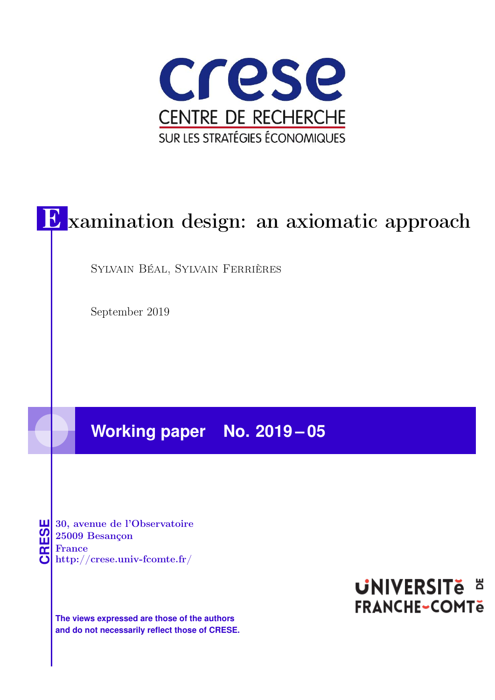

# E xamination design: an axiomatic approach

Sylvain Béal, Sylvain Ferrières

September 2019

## **Working paper No. 2019 – 05**

**CRESE 30, avenue de l'Observatoire<br>
25009 Besançon<br>
France<br>
<b>CRESE de l'Observatoire**<br>
Http://crese.univ-fcomte.fr/ 25009 Besançon France

**The views expressed are those of the authors and do not necessarily reflect those of CRESE.**

## **UNIVERSITE E FRANCHE-COMTe**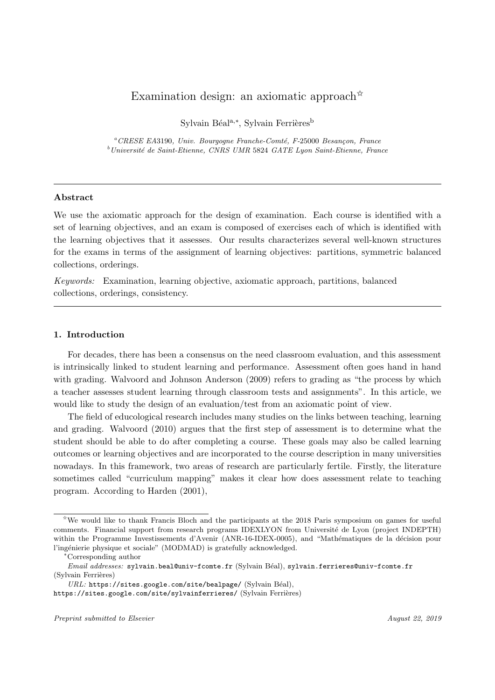### Examination design: an axiomatic approach<sup> $\hat{\mathbf{x}}$ </sup>

Sylvain Béal<sup>a,∗</sup>, Sylvain Ferrières<sup>b</sup>

 ${}^a$ CRESE EA3190, Univ. Bourgogne Franche-Comté, F-25000 Besançon, France  $^{b}$ Université de Saint-Etienne, CNRS UMR 5824 GATE Lyon Saint-Etienne, France

### Abstract

We use the axiomatic approach for the design of examination. Each course is identified with a set of learning objectives, and an exam is composed of exercises each of which is identified with the learning objectives that it assesses. Our results characterizes several well-known structures for the exams in terms of the assignment of learning objectives: partitions, symmetric balanced collections, orderings.

Keywords: Examination, learning objective, axiomatic approach, partitions, balanced collections, orderings, consistency.

### 1. Introduction

For decades, there has been a consensus on the need classroom evaluation, and this assessment is intrinsically linked to student learning and performance. Assessment often goes hand in hand with grading. Walvoord and Johnson Anderson (2009) refers to grading as "the process by which a teacher assesses student learning through classroom tests and assignments". In this article, we would like to study the design of an evaluation/test from an axiomatic point of view.

The field of educological research includes many studies on the links between teaching, learning and grading. Walvoord (2010) argues that the first step of assessment is to determine what the student should be able to do after completing a course. These goals may also be called learning outcomes or learning objectives and are incorporated to the course description in many universities nowadays. In this framework, two areas of research are particularly fertile. Firstly, the literature sometimes called "curriculum mapping" makes it clear how does assessment relate to teaching program. According to Harden (2001),

https://sites.google.com/site/sylvainferrieres/ (Sylvain Ferrières)

 $\alpha$ We would like to thank Francis Bloch and the participants at the 2018 Paris symposium on games for useful comments. Financial support from research programs IDEXLYON from Université de Lyon (project INDEPTH) within the Programme Investissements d'Avenir (ANR-16-IDEX-0005), and "Mathématiques de la décision pour l'ingénierie physique et sociale" (MODMAD) is gratefully acknowledged.

<sup>∗</sup>Corresponding author

Email addresses: sylvain.beal@univ-fcomte.fr (Sylvain Béal), sylvain.ferrieres@univ-fcomte.fr (Sylvain Ferrières)

 $URL:$  https://sites.google.com/site/bealpage/ (Sylvain Béal),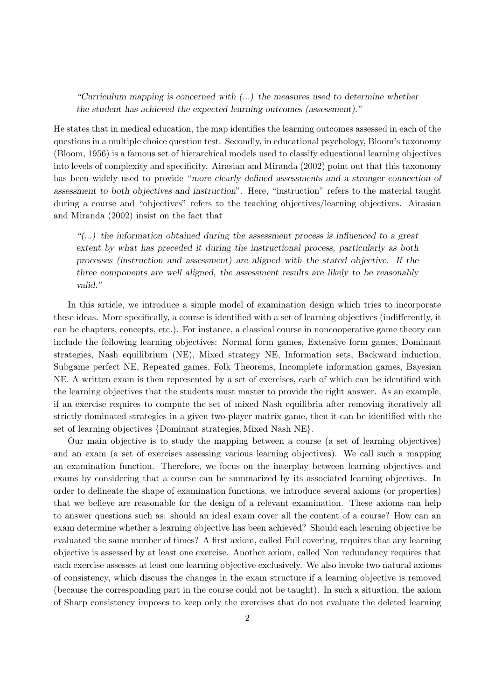"Curriculum mapping is concerned with  $(...)$  the measures used to determine whether the student has achieved the expected learning outcomes (assessment)."

He states that in medical education, the map identifies the learning outcomes assessed in each of the questions in a multiple choice question test. Secondly, in educational psychology, Bloom's taxonomy (Bloom, 1956) is a famous set of hierarchical models used to classify educational learning objectives into levels of complexity and specificity. Airasian and Miranda (2002) point out that this taxonomy has been widely used to provide "more clearly defined assessments and a stronger connection of assessment to both objectives and instruction". Here, "instruction" refers to the material taught during a course and "objectives" refers to the teaching objectives/learning objectives. Airasian and Miranda (2002) insist on the fact that

 $\mu$ ...) the information obtained during the assessment process is influenced to a great extent by what has preceded it during the instructional process, particularly as both processes (instruction and assessment) are aligned with the stated objective. If the three components are well aligned, the assessment results are likely to be reasonably valid."

In this article, we introduce a simple model of examination design which tries to incorporate these ideas. More specifically, a course is identified with a set of learning objectives (indifferently, it can be chapters, concepts, etc.). For instance, a classical course in noncooperative game theory can include the following learning objectives: Normal form games, Extensive form games, Dominant strategies, Nash equilibrium (NE), Mixed strategy NE, Information sets, Backward induction, Subgame perfect NE, Repeated games, Folk Theorems, Incomplete information games, Bayesian NE. A written exam is then represented by a set of exercises, each of which can be identified with the learning objectives that the students must master to provide the right answer. As an example, if an exercise requires to compute the set of mixed Nash equilibria after removing iteratively all strictly dominated strategies in a given two-player matrix game, then it can be identified with the set of learning objectives {Dominant strategies, Mixed Nash NE}.

Our main objective is to study the mapping between a course (a set of learning objectives) and an exam (a set of exercises assessing various learning objectives). We call such a mapping an examination function. Therefore, we focus on the interplay between learning objectives and exams by considering that a course can be summarized by its associated learning objectives. In order to delineate the shape of examination functions, we introduce several axioms (or properties) that we believe are reasonable for the design of a relevant examination. These axioms can help to answer questions such as: should an ideal exam cover all the content of a course? How can an exam determine whether a learning objective has been achieved? Should each learning objective be evaluated the same number of times? A first axiom, called Full covering, requires that any learning objective is assessed by at least one exercise. Another axiom, called Non redundancy requires that each exercise assesses at least one learning objective exclusively. We also invoke two natural axioms of consistency, which discuss the changes in the exam structure if a learning objective is removed (because the corresponding part in the course could not be taught). In such a situation, the axiom of Sharp consistency imposes to keep only the exercises that do not evaluate the deleted learning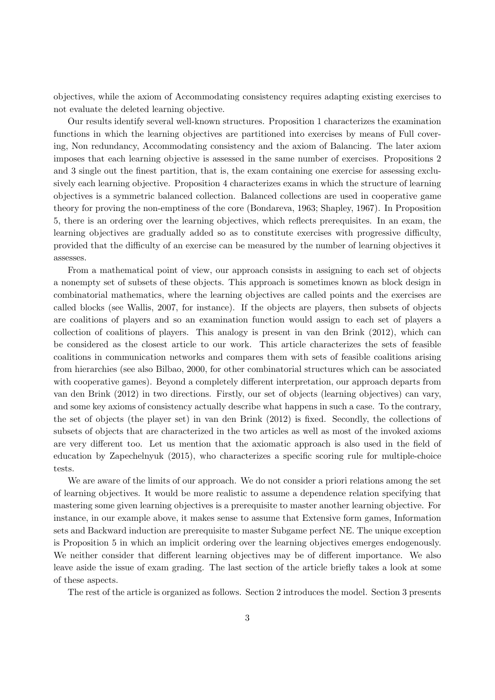objectives, while the axiom of Accommodating consistency requires adapting existing exercises to not evaluate the deleted learning objective.

Our results identify several well-known structures. Proposition 1 characterizes the examination functions in which the learning objectives are partitioned into exercises by means of Full covering, Non redundancy, Accommodating consistency and the axiom of Balancing. The later axiom imposes that each learning objective is assessed in the same number of exercises. Propositions 2 and 3 single out the finest partition, that is, the exam containing one exercise for assessing exclusively each learning objective. Proposition 4 characterizes exams in which the structure of learning objectives is a symmetric balanced collection. Balanced collections are used in cooperative game theory for proving the non-emptiness of the core (Bondareva, 1963; Shapley, 1967). In Proposition 5, there is an ordering over the learning objectives, which reflects prerequisites. In an exam, the learning objectives are gradually added so as to constitute exercises with progressive difficulty, provided that the difficulty of an exercise can be measured by the number of learning objectives it assesses.

From a mathematical point of view, our approach consists in assigning to each set of objects a nonempty set of subsets of these objects. This approach is sometimes known as block design in combinatorial mathematics, where the learning objectives are called points and the exercises are called blocks (see Wallis, 2007, for instance). If the objects are players, then subsets of objects are coalitions of players and so an examination function would assign to each set of players a collection of coalitions of players. This analogy is present in van den Brink (2012), which can be considered as the closest article to our work. This article characterizes the sets of feasible coalitions in communication networks and compares them with sets of feasible coalitions arising from hierarchies (see also Bilbao, 2000, for other combinatorial structures which can be associated with cooperative games). Beyond a completely different interpretation, our approach departs from van den Brink (2012) in two directions. Firstly, our set of objects (learning objectives) can vary, and some key axioms of consistency actually describe what happens in such a case. To the contrary, the set of objects (the player set) in van den Brink (2012) is fixed. Secondly, the collections of subsets of objects that are characterized in the two articles as well as most of the invoked axioms are very different too. Let us mention that the axiomatic approach is also used in the field of education by Zapechelnyuk (2015), who characterizes a specific scoring rule for multiple-choice tests.

We are aware of the limits of our approach. We do not consider a priori relations among the set of learning objectives. It would be more realistic to assume a dependence relation specifying that mastering some given learning objectives is a prerequisite to master another learning objective. For instance, in our example above, it makes sense to assume that Extensive form games, Information sets and Backward induction are prerequisite to master Subgame perfect NE. The unique exception is Proposition 5 in which an implicit ordering over the learning objectives emerges endogenously. We neither consider that different learning objectives may be of different importance. We also leave aside the issue of exam grading. The last section of the article briefly takes a look at some of these aspects.

The rest of the article is organized as follows. Section 2 introduces the model. Section 3 presents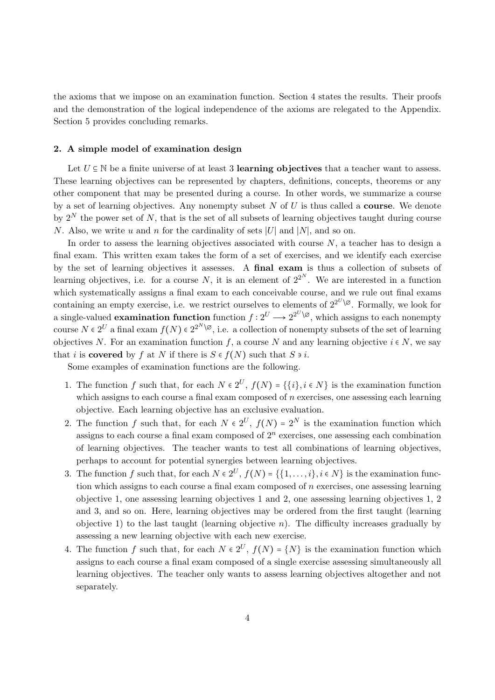the axioms that we impose on an examination function. Section 4 states the results. Their proofs and the demonstration of the logical independence of the axioms are relegated to the Appendix. Section 5 provides concluding remarks.

### 2. A simple model of examination design

Let  $U \subseteq \mathbb{N}$  be a finite universe of at least 3 learning objectives that a teacher want to assess. These learning objectives can be represented by chapters, definitions, concepts, theorems or any other component that may be presented during a course. In other words, we summarize a course by a set of learning objectives. Any nonempty subset  $N$  of  $U$  is thus called a **course**. We denote by  $2^N$  the power set of N, that is the set of all subsets of learning objectives taught during course N. Also, we write u and n for the cardinality of sets |U| and |N|, and so on.

In order to assess the learning objectives associated with course  $N$ , a teacher has to design a final exam. This written exam takes the form of a set of exercises, and we identify each exercise by the set of learning objectives it assesses. A final exam is thus a collection of subsets of learning objectives, i.e. for a course N, it is an element of  $2^{2^N}$ . We are interested in a function which systematically assigns a final exam to each conceivable course, and we rule out final exams containing an empty exercise, i.e. we restrict ourselves to elements of  $2^{2^U\setminus\emptyset}$ . Formally, we look for a single-valued **examination function** function  $f: 2^U \longrightarrow 2^{2^U \setminus \varnothing}$ , which assigns to each nonempty course  $N \in 2^U$  a final exam  $f(N) \in 2^{2^N \setminus \emptyset}$ , i.e. a collection of nonempty subsets of the set of learning objectives N. For an examination function f, a course N and any learning objective  $i \in N$ , we say that i is covered by f at N if there is  $S \in f(N)$  such that  $S \ni i$ .

Some examples of examination functions are the following.

- 1. The function f such that, for each  $N \in 2^U$ ,  $f(N) = \{\{i\}, i \in N\}$  is the examination function which assigns to each course a final exam composed of  $n$  exercises, one assessing each learning objective. Each learning objective has an exclusive evaluation.
- 2. The function f such that, for each  $N \in 2^U$ ,  $f(N) = 2^N$  is the examination function which assigns to each course a final exam composed of  $2<sup>n</sup>$  exercises, one assessing each combination of learning objectives. The teacher wants to test all combinations of learning objectives, perhaps to account for potential synergies between learning objectives.
- 3. The function f such that, for each  $N \in 2^U$ ,  $f(N) = \{\{1, \ldots, i\}, i \in N\}$  is the examination function which assigns to each course a final exam composed of  $n$  exercises, one assessing learning objective 1, one assessing learning objectives 1 and 2, one assessing learning objectives 1, 2 and 3, and so on. Here, learning objectives may be ordered from the first taught (learning objective 1) to the last taught (learning objective  $n$ ). The difficulty increases gradually by assessing a new learning objective with each new exercise.
- 4. The function f such that, for each  $N \in 2^U$ ,  $f(N) = \{N\}$  is the examination function which assigns to each course a final exam composed of a single exercise assessing simultaneously all learning objectives. The teacher only wants to assess learning objectives altogether and not separately.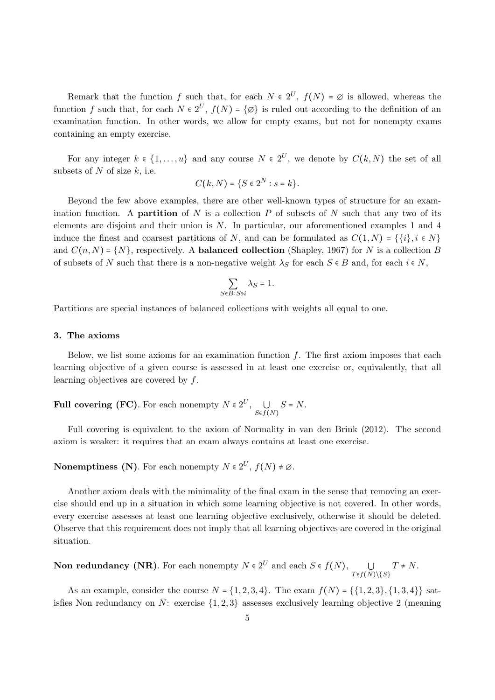Remark that the function f such that, for each  $N \in 2^U$ ,  $f(N) = \emptyset$  is allowed, whereas the function f such that, for each  $N \in 2^U$ ,  $f(N) = \{ \emptyset \}$  is ruled out according to the definition of an examination function. In other words, we allow for empty exams, but not for nonempty exams containing an empty exercise.

For any integer  $k \in \{1, ..., u\}$  and any course  $N \in 2^U$ , we denote by  $C(k, N)$  the set of all subsets of  $N$  of size  $k$ , i.e.

$$
C(k,N)=\{S\in 2^N:s=k\}.
$$

Beyond the few above examples, there are other well-known types of structure for an examination function. A **partition** of N is a collection P of subsets of N such that any two of its elements are disjoint and their union is  $N$ . In particular, our aforementioned examples 1 and 4 induce the finest and coarsest partitions of N, and can be formulated as  $C(1, N) = \{\{i\}, i \in N\}$ and  $C(n, N) = \{N\}$ , respectively. A **balanced collection** (Shapley, 1967) for N is a collection B of subsets of N such that there is a non-negative weight  $\lambda_S$  for each  $S \in B$  and, for each  $i \in N$ ,

$$
\sum_{S \in B: S \ni i} \lambda_S = 1.
$$

Partitions are special instances of balanced collections with weights all equal to one.

### 3. The axioms

Below, we list some axioms for an examination function  $f$ . The first axiom imposes that each learning objective of a given course is assessed in at least one exercise or, equivalently, that all learning objectives are covered by f.

**Full covering (FC)**. For each nonempty  $N \in 2^U$ ,  $\bigcup_{S \in f(N)} S = N$ .

Full covering is equivalent to the axiom of Normality in van den Brink (2012). The second axiom is weaker: it requires that an exam always contains at least one exercise.

### **Nonemptiness (N)**. For each nonempty  $N \in 2^U$ ,  $f(N) \neq \emptyset$ .

Another axiom deals with the minimality of the final exam in the sense that removing an exercise should end up in a situation in which some learning objective is not covered. In other words, every exercise assesses at least one learning objective exclusively, otherwise it should be deleted. Observe that this requirement does not imply that all learning objectives are covered in the original situation.

**Non redundancy (NR)**. For each nonempty 
$$
N \in 2^U
$$
 and each  $S \in f(N)$ ,  $\bigcup_{T \in f(N) \setminus \{S\}} T \neq N$ .

As an example, consider the course  $N = \{1, 2, 3, 4\}$ . The exam  $f(N) = \{\{1, 2, 3\}, \{1, 3, 4\}\}\$  satisfies Non redundancy on  $N$ : exercise  $\{1, 2, 3\}$  assesses exclusively learning objective 2 (meaning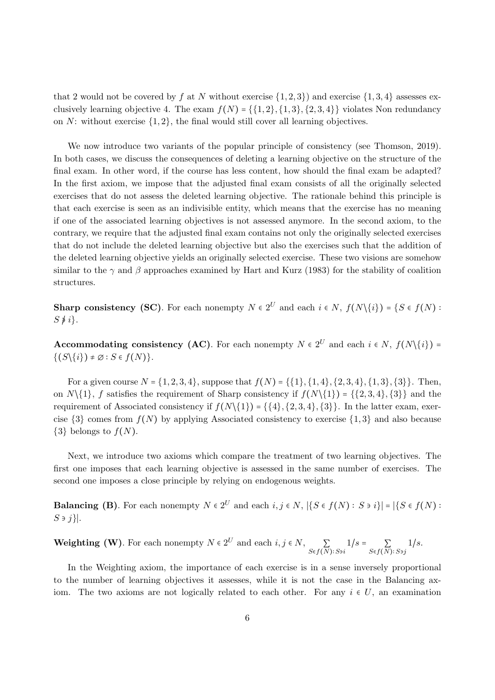that 2 would not be covered by f at N without exercise  $\{1,2,3\}$  and exercise  $\{1,3,4\}$  assesses exclusively learning objective 4. The exam  $f(N) = \{1, 2\}, \{1, 3\}, \{2, 3, 4\}\}$  violates Non redundancy on  $N$ : without exercise  $\{1, 2\}$ , the final would still cover all learning objectives.

We now introduce two variants of the popular principle of consistency (see Thomson, 2019). In both cases, we discuss the consequences of deleting a learning objective on the structure of the final exam. In other word, if the course has less content, how should the final exam be adapted? In the first axiom, we impose that the adjusted final exam consists of all the originally selected exercises that do not assess the deleted learning objective. The rationale behind this principle is that each exercise is seen as an indivisible entity, which means that the exercise has no meaning if one of the associated learning objectives is not assessed anymore. In the second axiom, to the contrary, we require that the adjusted final exam contains not only the originally selected exercises that do not include the deleted learning objective but also the exercises such that the addition of the deleted learning objective yields an originally selected exercise. These two visions are somehow similar to the  $\gamma$  and  $\beta$  approaches examined by Hart and Kurz (1983) for the stability of coalition structures.

**Sharp consistency (SC)**. For each nonempty  $N \in 2^U$  and each  $i \in N$ ,  $f(N\setminus\{i\}) = \{S \in f(N) : S \in I(N)\}$  $S \not\equiv i$ .

**Accommodating consistency (AC)**. For each nonempty  $N \in 2^U$  and each  $i \in N$ ,  $f(N\setminus\{i\})$  =  $\{(S\backslash\{i\})\neq\emptyset : S\in f(N)\}.$ 

For a given course  $N = \{1, 2, 3, 4\}$ , suppose that  $f(N) = \{\{1\}, \{1, 4\}, \{2, 3, 4\}, \{1, 3\}, \{3\}\}\$ . Then, on  $N\{1\}$ , f satisfies the requirement of Sharp consistency if  $f(N\{1\}) = \{\{2,3,4\},\{3\}\}\$ and the requirement of Associated consistency if  $f(N\{1\}) = \{\{4\}, \{2, 3, 4\}, \{3\}\}\.$  In the latter exam, exercise  $\{3\}$  comes from  $f(N)$  by applying Associated consistency to exercise  $\{1,3\}$  and also because  $\{3\}$  belongs to  $f(N)$ .

Next, we introduce two axioms which compare the treatment of two learning objectives. The first one imposes that each learning objective is assessed in the same number of exercises. The second one imposes a close principle by relying on endogenous weights.

**Balancing (B)**. For each nonempty  $N \in 2^U$  and each  $i, j \in N$ ,  $|\{S \in f(N) : S \ni i\}| = |\{S \in f(N) : S \ni i\}|$  $S \ni j$  }|.

**Weighting (W)**. For each nonempty  $N \in 2^U$  and each  $i, j \in N$ ,  $\sum_{S \in f(N): S \ni i} 1/s = \sum_{S \in f(N): S \ni j} 1/s$ .

In the Weighting axiom, the importance of each exercise is in a sense inversely proportional to the number of learning objectives it assesses, while it is not the case in the Balancing axiom. The two axioms are not logically related to each other. For any  $i \in U$ , an examination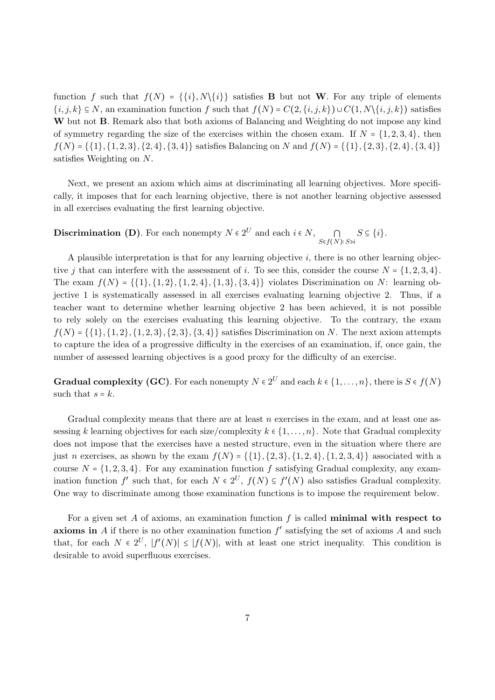function f such that  $f(N) = \{\{i\}, N\setminus\{i\}\}$  satisfies **B** but not **W**. For any triple of elements  $\{i, j, k\} \subseteq N$ , an examination function f such that  $f(N) = C(2, \{i, j, k\}) \cup C(1, N\{i, j, k\})$  satisfies W but not **B**. Remark also that both axioms of Balancing and Weighting do not impose any kind of symmetry regarding the size of the exercises within the chosen exam. If  $N = \{1, 2, 3, 4\}$ , then  $f(N) = \{\{1\}, \{1, 2, 3\}, \{2, 4\}, \{3, 4\}\}$  satisfies Balancing on N and  $f(N) = \{\{1\}, \{2, 3\}, \{2, 4\}, \{3, 4\}\}\$ satisfies Weighting on N.

Next, we present an axiom which aims at discriminating all learning objectives. More specifically, it imposes that for each learning objective, there is not another learning objective assessed in all exercises evaluating the first learning objective.

**Discrimination (D)**. For each nonempty  $N \in 2^U$  and each  $i \in N$ ,  $\bigcap_{S \in f(N): S \ni i} S \subseteq \{i\}$ .

A plausible interpretation is that for any learning objective  $i$ , there is no other learning objective j that can interfere with the assessment of i. To see this, consider the course  $N = \{1, 2, 3, 4\}$ . The exam  $f(N) = \{\{1\}, \{1, 2\}, \{1, 2, 4\}, \{1, 3\}, \{3, 4\}\}\$  violates Discrimination on N: learning objective 1 is systematically assessed in all exercises evaluating learning objective 2. Thus, if a teacher want to determine whether learning objective 2 has been achieved, it is not possible to rely solely on the exercises evaluating this learning objective. To the contrary, the exam  $f(N) = \{ \{1\}, \{1, 2\}, \{1, 2, 3\}, \{2, 3\}, \{3, 4\} \}$  satisfies Discrimination on N. The next axiom attempts to capture the idea of a progressive difficulty in the exercises of an examination, if, once gain, the number of assessed learning objectives is a good proxy for the difficulty of an exercise.

**Gradual complexity (GC)**. For each nonempty  $N \in 2^U$  and each  $k \in \{1, ..., n\}$ , there is  $S \in f(N)$ such that  $s = k$ .

Gradual complexity means that there are at least n exercises in the exam, and at least one assessing k learning objectives for each size/complexity  $k \in \{1, \ldots, n\}$ . Note that Gradual complexity does not impose that the exercises have a nested structure, even in the situation where there are just n exercises, as shown by the exam  $f(N) = \{\{1\}, \{2, 3\}, \{1, 2, 4\}, \{1, 2, 3, 4\}\}\$ associated with a course  $N = \{1, 2, 3, 4\}$ . For any examination function f satisfying Gradual complexity, any examination function  $f'$  such that, for each  $N \in 2^U$ ,  $f(N) \subseteq f'(N)$  also satisfies Gradual complexity. One way to discriminate among those examination functions is to impose the requirement below.

For a given set A of axioms, an examination function  $f$  is called **minimal with respect to axioms in** A if there is no other examination function  $f'$  satisfying the set of axioms A and such that, for each  $N \in 2^U$ ,  $|f'(N)| \leq |f(N)|$ , with at least one strict inequality. This condition is desirable to avoid superfluous exercises.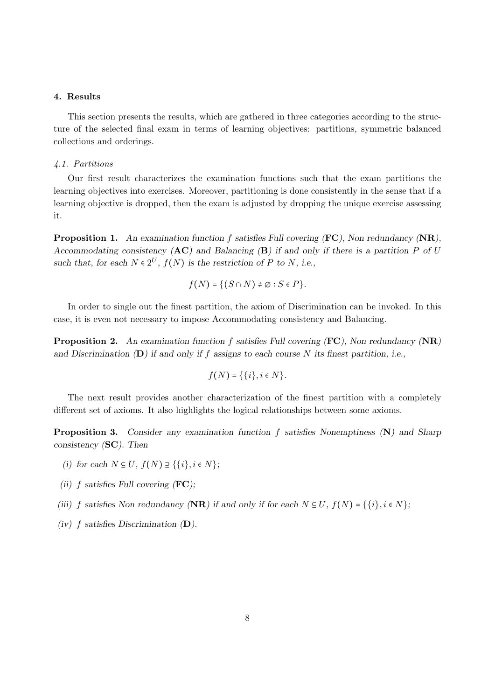### 4. Results

This section presents the results, which are gathered in three categories according to the structure of the selected final exam in terms of learning objectives: partitions, symmetric balanced collections and orderings.

### 4.1. Partitions

Our first result characterizes the examination functions such that the exam partitions the learning objectives into exercises. Moreover, partitioning is done consistently in the sense that if a learning objective is dropped, then the exam is adjusted by dropping the unique exercise assessing it.

**Proposition 1.** An examination function f satisfies Full covering  $(FC)$ , Non redundancy  $(NR)$ , Accommodating consistency  $(AC)$  and Balancing  $(B)$  if and only if there is a partition P of U such that, for each  $N \in 2^U$ ,  $f(N)$  is the restriction of P to N, i.e.,

$$
f(N) = \{(S \cap N) \neq \varnothing : S \in P\}.
$$

In order to single out the finest partition, the axiom of Discrimination can be invoked. In this case, it is even not necessary to impose Accommodating consistency and Balancing.

**Proposition 2.** An examination function f satisfies Full covering  $(FC)$ , Non redundancy  $(NR)$ and Discrimination  $(D)$  if and only if f assigns to each course N its finest partition, i.e.,

$$
f(N) = \{\{i\}, i \in N\}.
$$

The next result provides another characterization of the finest partition with a completely different set of axioms. It also highlights the logical relationships between some axioms.

Proposition 3. Consider any examination function f satisfies Nonemptiness (N) and Sharp consistency (SC). Then

- (i) for each  $N \subseteq U$ ,  $f(N) \supseteq {\{i\}, i \in N}$ ;
- (ii) f satisfies Full covering  $(FC)$ ;
- (iii) f satisfies Non redundancy (NR) if and only if for each  $N \subseteq U$ ,  $f(N) = \{\{i\}, i \in N\}$ ;
- (iv)  $f$  satisfies Discrimination  $(D)$ .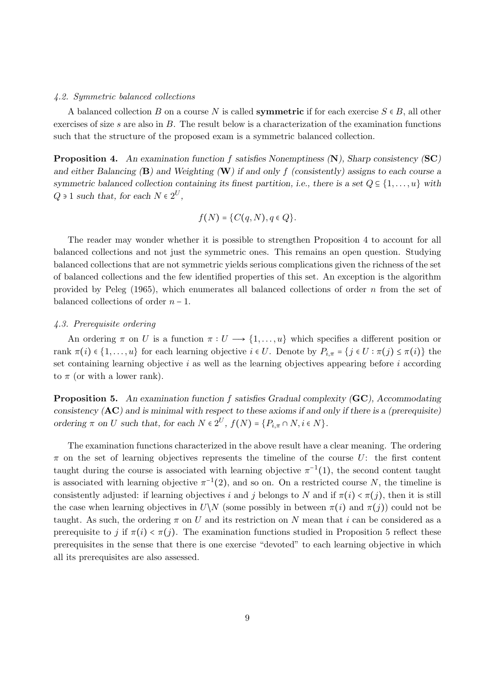#### 4.2. Symmetric balanced collections

A balanced collection B on a course N is called **symmetric** if for each exercise  $S \in B$ , all other exercises of size  $s$  are also in  $B$ . The result below is a characterization of the examination functions such that the structure of the proposed exam is a symmetric balanced collection.

Proposition 4. An examination function f satisfies Nonemptiness (N), Sharp consistency (SC) and either Balancing  $(B)$  and Weighting  $(W)$  if and only f (consistently) assigns to each course a symmetric balanced collection containing its finest partition, i.e., there is a set  $Q \subseteq \{1, \ldots, u\}$  with  $Q \ni 1$  such that, for each  $N \in 2^U$ ,

$$
f(N) = \{C(q,N), q \in Q\}.
$$

The reader may wonder whether it is possible to strengthen Proposition 4 to account for all balanced collections and not just the symmetric ones. This remains an open question. Studying balanced collections that are not symmetric yields serious complications given the richness of the set of balanced collections and the few identified properties of this set. An exception is the algorithm provided by Peleg  $(1965)$ , which enumerates all balanced collections of order n from the set of balanced collections of order  $n-1$ .

### 4.3. Prerequisite ordering

An ordering  $\pi$  on U is a function  $\pi: U \longrightarrow \{1,\ldots,u\}$  which specifies a different position or rank  $\pi(i) \in \{1, \ldots, u\}$  for each learning objective  $i \in U$ . Denote by  $P_{i,\pi} = \{j \in U : \pi(j) \leq \pi(i)\}$  the set containing learning objective  $i$  as well as the learning objectives appearing before  $i$  according to  $\pi$  (or with a lower rank).

**Proposition 5.** An examination function f satisfies Gradual complexity (GC), Accommodating consistency  $(AC)$  and is minimal with respect to these axioms if and only if there is a (prerequisite) ordering  $\pi$  on U such that, for each  $N \in 2^U$ ,  $f(N) = \{P_{i,\pi} \cap N, i \in N\}$ .

The examination functions characterized in the above result have a clear meaning. The ordering  $\pi$  on the set of learning objectives represents the timeline of the course U: the first content taught during the course is associated with learning objective  $\pi^{-1}(1)$ , the second content taught is associated with learning objective  $\pi^{-1}(2)$ , and so on. On a restricted course N, the timeline is consistently adjusted: if learning objectives i and j belongs to N and if  $\pi(i) < \pi(j)$ , then it is still the case when learning objectives in  $U\setminus N$  (some possibly in between  $\pi(i)$  and  $\pi(j)$ ) could not be taught. As such, the ordering  $\pi$  on U and its restriction on N mean that i can be considered as a prerequisite to j if  $\pi(i) < \pi(j)$ . The examination functions studied in Proposition 5 reflect these prerequisites in the sense that there is one exercise "devoted" to each learning objective in which all its prerequisites are also assessed.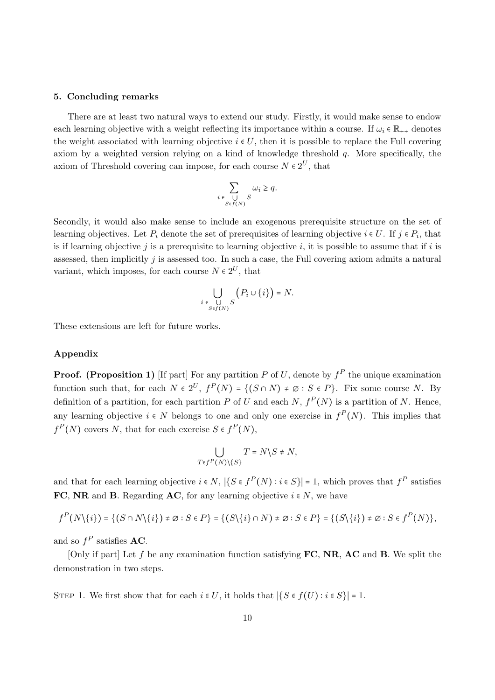### 5. Concluding remarks

There are at least two natural ways to extend our study. Firstly, it would make sense to endow each learning objective with a weight reflecting its importance within a course. If  $\omega_i \in \mathbb{R}_{++}$  denotes the weight associated with learning objective  $i \in U$ , then it is possible to replace the Full covering axiom by a weighted version relying on a kind of knowledge threshold q. More specifically, the axiom of Threshold covering can impose, for each course  $N \in 2^U$ , that

$$
\sum_{i \in \bigcup\limits_{S \in f(N)} S} \omega_i \geq q.
$$

Secondly, it would also make sense to include an exogenous prerequisite structure on the set of learning objectives. Let  $P_i$  denote the set of prerequisites of learning objective  $i \in U$ . If  $j \in P_i$ , that is if learning objective j is a prerequisite to learning objective i, it is possible to assume that if i is assessed, then implicitly  $j$  is assessed too. In such a case, the Full covering axiom admits a natural variant, which imposes, for each course  $N \in 2^U$ , that

$$
\bigcup_{i \in \bigcup_{S \in f(N)} S} \left( P_i \cup \{i\} \right) = N.
$$

These extensions are left for future works.

### Appendix

**Proof.** (Proposition 1) [If part] For any partition P of U, denote by  $f^P$  the unique examination function such that, for each  $N \in 2^U$ ,  $f^P(N) = \{(S \cap N) \neq \emptyset : S \in P\}$ . Fix some course N. By definition of a partition, for each partition P of U and each  $N$ ,  $f^{P}(N)$  is a partition of N. Hence, any learning objective  $i \in N$  belongs to one and only one exercise in  $f^P(N)$ . This implies that  $f^{P}(N)$  covers N, that for each exercise  $S \in f^{P}(N)$ ,

$$
\bigcup_{T \in f^P(N) \setminus \{S\}} T = N \setminus S \neq N,
$$

and that for each learning objective  $i \in N$ ,  $|\{S \in f^P(N) : i \in S\}| = 1$ , which proves that  $f^P$  satisfies FC, NR and B. Regarding AC, for any learning objective  $i \in N$ , we have

$$
f^{P}(N\setminus\{i\})=\{(S\cap N\setminus\{i\})\neq\emptyset: S\in P\}=\{(S\setminus\{i\}\cap N)\neq\emptyset: S\in P\}=\{(S\setminus\{i\})\neq\emptyset: S\in f^{P}(N)\},\
$$

and so  $f^P$  satisfies **AC**.

[Only if part] Let f be any examination function satisfying  $FC$ , NR, AC and B. We split the demonstration in two steps.

STEP 1. We first show that for each  $i \in U$ , it holds that  $|\{S \in f(U) : i \in S\}| = 1$ .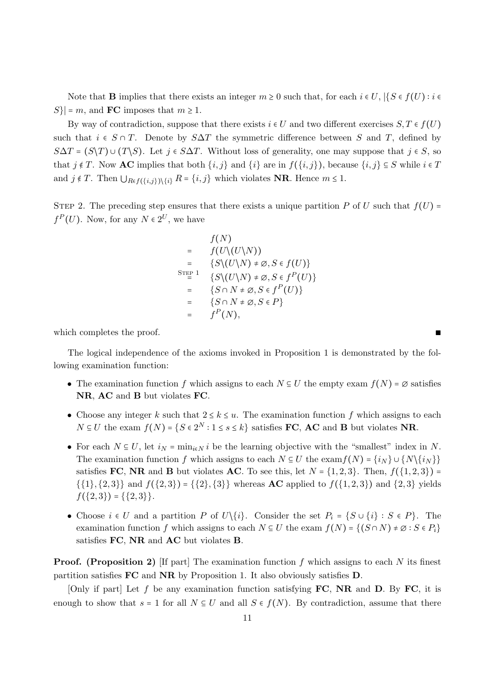Note that **B** implies that there exists an integer  $m \geq 0$  such that, for each  $i \in U$ ,  $\{S \in f(U) : i \in$  $S\vert = m$ , and **FC** imposes that  $m \geq 1$ .

By way of contradiction, suppose that there exists  $i \in U$  and two different exercises  $S, T \in f(U)$ such that  $i \in S \cap T$ . Denote by  $S\Delta T$  the symmetric difference between S and T, defined by  $S\Delta T = (S\backslash T) \cup (T\backslash S)$ . Let  $j \in S\Delta T$ . Without loss of generality, one may suppose that  $j \in S$ , so that  $j \notin T$ . Now **AC** implies that both  $\{i, j\}$  and  $\{i\}$  are in  $f(\{i, j\})$ , because  $\{i, j\} \subseteq S$  while  $i \in T$ and  $j \notin T$ . Then  $\bigcup_{R \in f(\{i,j\}) \setminus \{i\}} R = \{i,j\}$  which violates **NR**. Hence  $m \leq 1$ .

STEP 2. The preceding step ensures that there exists a unique partition P of U such that  $f(U)$  =  $f^{P}(U)$ . Now, for any  $N \in 2^{U}$ , we have

$$
f(N)
$$
\n
$$
= f(U\setminus (U\setminus N))
$$
\n
$$
= \{S\setminus (U\setminus N) \neq \emptyset, S \in f(U)\}
$$
\n
$$
= \{S\setminus (U\setminus N) \neq \emptyset, S \in f^{P}(U)\}
$$
\n
$$
= \{S \cap N \neq \emptyset, S \in f^{P}(U)\}
$$
\n
$$
= \{S \cap N \neq \emptyset, S \in P\}
$$
\n
$$
= f^{P}(N),
$$

which completes the proof.

The logical independence of the axioms invoked in Proposition 1 is demonstrated by the following examination function:

- The examination function f which assigns to each  $N \subseteq U$  the empty exam  $f(N) = \emptyset$  satisfies NR, AC and B but violates FC.
- Choose any integer k such that  $2 \le k \le u$ . The examination function f which assigns to each  $N \subseteq U$  the exam  $f(N) = \{S \in 2^N : 1 \le s \le k\}$  satisfies **FC**, **AC** and **B** but violates **NR**.
- For each  $N \subseteq U$ , let  $i_N = \min_{i \in N} i$  be the learning objective with the "smallest" index in N. The examination function f which assigns to each  $N \subseteq U$  the exam  $f(N) = \{i_N\} \cup \{N\{\{i_N\}\}\}\$ satisfies FC, NR and B but violates AC. To see this, let  $N = \{1, 2, 3\}$ . Then,  $f(\{1, 2, 3\})$  =  $\{\{1\},\{2,3\}\}\$  and  $f(\{2,3\}) = \{\{2\},\{3\}\}\$  whereas **AC** applied to  $f(\{1,2,3\})$  and  $\{2,3\}$  yields  $f({2,3}) = {\{2,3\}}.$
- Choose  $i \in U$  and a partition P of  $U\setminus\{i\}$ . Consider the set  $P_i = \{S \cup \{i\} : S \in P\}$ . The examination function f which assigns to each  $N \subseteq U$  the exam  $f(N) = \{(S \cap N) \neq \emptyset : S \in P_i\}$ satisfies FC, NR and AC but violates B.

**Proof.** (Proposition 2) If part The examination function f which assigns to each N its finest partition satisfies FC and NR by Proposition 1. It also obviously satisfies D.

[Only if part] Let f be any examination function satisfying  $FC$ , NR and D. By FC, it is enough to show that  $s = 1$  for all  $N \subseteq U$  and all  $S \in f(N)$ . By contradiction, assume that there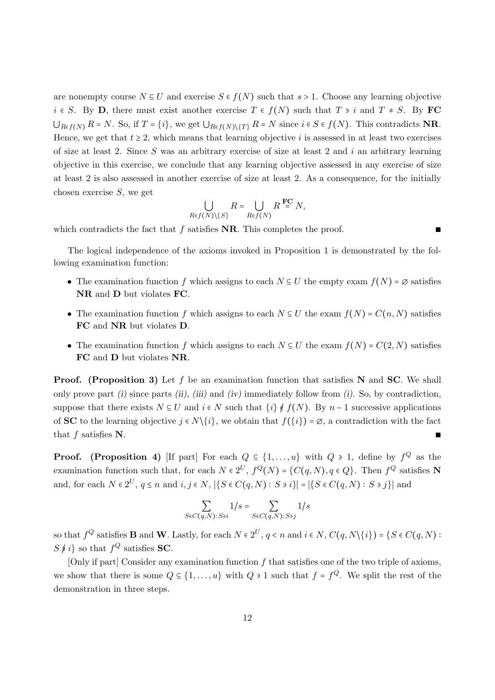are nonempty course  $N \subseteq U$  and exercise  $S \in f(N)$  such that  $s > 1$ . Choose any learning objective  $i \in S$ . By **D**, there must exist another exercise  $T \in f(N)$  such that  $T \ni i$  and  $T \neq S$ . By **FC**  $\bigcup_{R\in f(N)} R = N$ . So, if  $T = \{i\}$ , we get  $\bigcup_{R\in f(N)\setminus\{T\}} R = N$  since  $i \in S \in f(N)$ . This contradicts **NR**. Hence, we get that  $t \geq 2$ , which means that learning objective i is assessed in at least two exercises of size at least 2. Since S was an arbitrary exercise of size at least 2 and i an arbitrary learning objective in this exercise, we conclude that any learning objective assessed in any exercise of size at least 2 is also assessed in another exercise of size at least 2. As a consequence, for the initially chosen exercise S, we get

$$
\bigcup_{R\in f(N)\setminus\{S\}} R = \bigcup_{R\in f(N)} R^{\mathbf{FC}} N,
$$

which contradicts the fact that f satisfies NR. This completes the proof.

The logical independence of the axioms invoked in Proposition 1 is demonstrated by the following examination function:

- The examination function f which assigns to each  $N \subseteq U$  the empty exam  $f(N) = \emptyset$  satisfies NR and D but violates FC.
- The examination function f which assigns to each  $N \subseteq U$  the exam  $f(N) = C(n, N)$  satisfies FC and NR but violates D.
- The examination function f which assigns to each  $N \subseteq U$  the exam  $f(N) = C(2, N)$  satisfies FC and D but violates NR.

**Proof.** (Proposition 3) Let f be an examination function that satisfies N and SC. We shall only prove part  $(i)$  since parts  $(ii)$ ,  $(iii)$  and  $(iv)$  immediately follow from  $(i)$ . So, by contradiction, suppose that there exists  $N \subseteq U$  and  $i \in N$  such that  $\{i\} \notin f(N)$ . By  $n-1$  successive applications of **SC** to the learning objective  $j \in N\setminus\{i\}$ , we obtain that  $f(\{i\}) = \emptyset$ , a contradiction with the fact that  $f$  satisfies  $N$ .

**Proof.** (Proposition 4) [If part] For each  $Q \subseteq \{1, ..., u\}$  with  $Q \ni 1$ , define by  $f^Q$  as the examination function such that, for each  $N \in 2^U$ ,  $f^Q(N) = \{C(q, N), q \in Q\}$ . Then  $f^Q$  satisfies N and, for each  $N \in 2^U$ ,  $q \le n$  and  $i, j \in N$ ,  $|\{S \in C(q, N) : S \ni i\}| = |\{S \in C(q, N) : S \ni j\}|$  and

$$
\sum_{S \in C(q,N): S \ni i} 1/s = \sum_{S \in C(q,N): S \ni j} 1/s
$$

so that  $f^Q$  satisfies **B** and **W**. Lastly, for each  $N \in 2^U$ ,  $q \lt n$  and  $i \in N$ ,  $C(q, N \setminus \{i\}) = \{S \in C(q, N):$  $S \neq i$  so that  $f^Q$  satisfies **SC**.

 $[Only if part] Consider any examination function f that satisfies one of the two triple of axioms,$ we show that there is some  $Q \subseteq \{1, \ldots, u\}$  with  $Q \ni 1$  such that  $f = f^Q$ . We split the rest of the demonstration in three steps.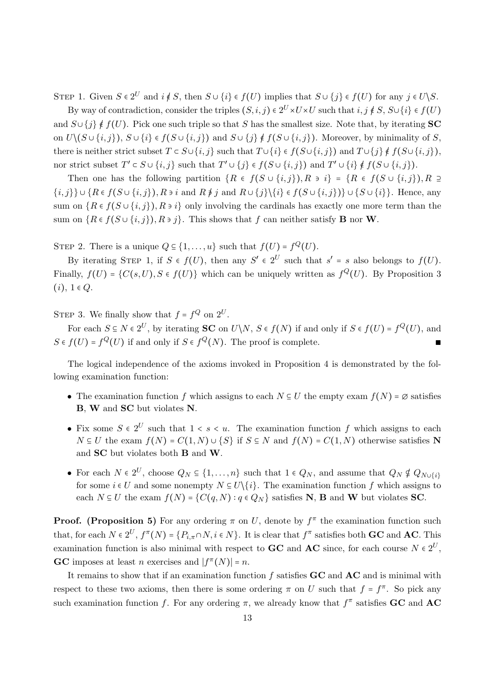STEP 1. Given  $S \in 2^U$  and  $i \notin S$ , then  $S \cup \{i\} \in f(U)$  implies that  $S \cup \{j\} \in f(U)$  for any  $j \in U \backslash S$ .

By way of contradiction, consider the triples  $(S, i, j) \in 2^U \times U \times U$  such that  $i, j \notin S$ ,  $S \cup \{i\} \in f(U)$ and  $S \cup \{j\} \notin f(U)$ . Pick one such triple so that S has the smallest size. Note that, by iterating SC on  $U\setminus (S\cup\{i,j\})$ ,  $S\cup\{i\} \in f(S\cup\{i,j\})$  and  $S\cup\{j\} \notin f(S\cup\{i,j\})$ . Moreover, by minimality of S, there is neither strict subset  $T \subset S \cup \{i, j\}$  such that  $T \cup \{i\} \in f(S \cup \{i, j\})$  and  $T \cup \{j\} \notin f(S \cup \{i, j\})$ , nor strict subset  $T' \subset S \cup \{i, j\}$  such that  $T' \cup \{j\} \in f(S \cup \{i, j\})$  and  $T' \cup \{i\} \notin f(S \cup \{i, j\})$ .

Then one has the following partition  $\{R \in f(S \cup \{i,j\}), R \ni i\} = \{R \in f(S \cup \{i,j\}), R \supseteq R\}$  $\{i,j\}\cup\{R\in f(S\cup\{i,j\}),R\ni i \text{ and } R\not\equiv j \text{ and } R\cup\{j\}\setminus\{i\}\in f(S\cup\{i,j\})\}\cup\{S\cup\{i\}\}.$  Hence, any sum on  $\{R \in f(S \cup \{i,j\}), R \ni i\}$  only involving the cardinals has exactly one more term than the sum on  $\{R \in f(S \cup \{i, j\}), R \ni j\}$ . This shows that f can neither satisfy **B** nor **W**.

STEP 2. There is a unique  $Q \subseteq \{1, ..., u\}$  such that  $f(U) = f^Q(U)$ .

By iterating STEP 1, if  $S \in f(U)$ , then any  $S' \in 2^U$  such that  $s' = s$  also belongs to  $f(U)$ . Finally,  $f(U) = {C(s, U), S \in f(U)}$  which can be uniquely written as  $f^Q(U)$ . By Proposition 3  $(i), 1 \in Q.$ 

STEP 3. We finally show that  $f = f^Q$  on  $2^U$ .

For each  $S \subseteq N \in 2^U$ , by iterating **SC** on  $U \backslash N$ ,  $S \in f(N)$  if and only if  $S \in f(U) = f^Q(U)$ , and  $S \in f(U) = f^Q(U)$  if and only if  $S \in f^Q(N)$ . The proof is complete.

The logical independence of the axioms invoked in Proposition 4 is demonstrated by the following examination function:

- The examination function f which assigns to each  $N \subseteq U$  the empty exam  $f(N) = \emptyset$  satisfies B, W and SC but violates N.
- Fix some  $S \in 2^U$  such that  $1 \lt s \lt u$ . The examination function f which assigns to each  $N \subseteq U$  the exam  $f(N) = C(1, N) \cup \{S\}$  if  $S \subseteq N$  and  $f(N) = C(1, N)$  otherwise satisfies N and SC but violates both B and W.
- For each  $N \in 2^U$ , choose  $Q_N \subseteq \{1, ..., n\}$  such that  $1 \in Q_N$ , and assume that  $Q_N \notin Q_{N \cup \{i\}}$ for some  $i \in U$  and some nonempty  $N \subseteq U\backslash\{i\}$ . The examination function f which assigns to each  $N \subseteq U$  the exam  $f(N) = \{C(q, N) : q \in Q_N\}$  satisfies N, B and W but violates SC.

**Proof.** (Proposition 5) For any ordering  $\pi$  on U, denote by  $f^{\pi}$  the examination function such that, for each  $N \in 2^U$ ,  $f^{\pi}(N) = \{P_{i,\pi} \cap N, i \in N\}$ . It is clear that  $f^{\pi}$  satisfies both **GC** and **AC**. This examination function is also minimal with respect to **GC** and **AC** since, for each course  $N \in 2^U$ , **GC** imposes at least *n* exercises and  $|f^{\pi}(N)| = n$ .

It remains to show that if an examination function  $f$  satisfies  $GC$  and  $AC$  and is minimal with respect to these two axioms, then there is some ordering  $\pi$  on U such that  $f = f^{\pi}$ . So pick any such examination function f. For any ordering  $\pi$ , we already know that  $f^{\pi}$  satisfies **GC** and **AC**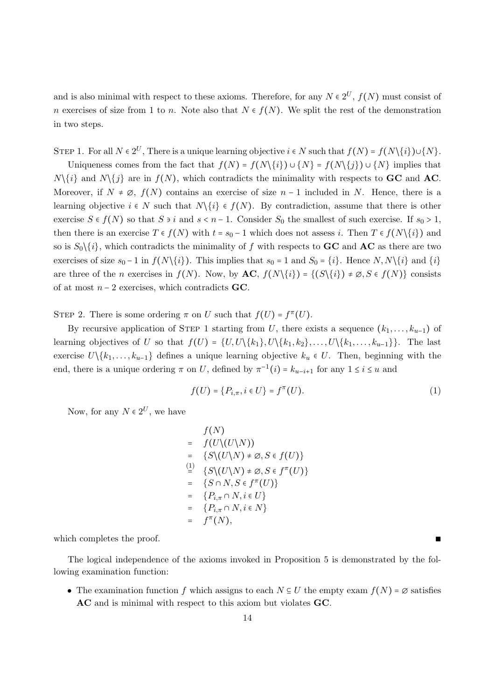and is also minimal with respect to these axioms. Therefore, for any  $N \in 2^U$ ,  $f(N)$  must consist of n exercises of size from 1 to n. Note also that  $N \in f(N)$ . We split the rest of the demonstration in two steps.

STEP 1. For all  $N \in 2^U$ , There is a unique learning objective  $i \in N$  such that  $f(N) = f(N\setminus\{i\}) \cup \{N\}$ .

Uniqueness comes from the fact that  $f(N) = f(N\setminus\{i\}) \cup \{N\} = f(N\setminus\{j\}) \cup \{N\}$  implies that  $N\{i\}$  and  $N\{i\}$  are in  $f(N)$ , which contradicts the minimality with respects to **GC** and **AC**. Moreover, if  $N \neq \emptyset$ ,  $f(N)$  contains an exercise of size  $n-1$  included in N. Hence, there is a learning objective  $i \in N$  such that  $N\{i\} \in f(N)$ . By contradiction, assume that there is other exercise  $S \in f(N)$  so that  $S \ni i$  and  $s < n-1$ . Consider  $S_0$  the smallest of such exercise. If  $s_0 > 1$ , then there is an exercise  $T \in f(N)$  with  $t = s_0 - 1$  which does not assess i. Then  $T \in f(N\setminus\{i\})$  and so is  $S_0\setminus\{i\}$ , which contradicts the minimality of f with respects to **GC** and **AC** as there are two exercises of size  $s_0 - 1$  in  $f(N\setminus\{i\})$ . This implies that  $s_0 = 1$  and  $S_0 = \{i\}$ . Hence  $N, N\setminus\{i\}$  and  $\{i\}$ are three of the n exercises in  $f(N)$ . Now, by  $AC$ ,  $f(N\{i\}) = \{(S\{i\}) \neq \emptyset, S \in f(N)\}\)$  consists of at most  $n-2$  exercises, which contradicts GC.

STEP 2. There is some ordering  $\pi$  on U such that  $f(U) = f^{\pi}(U)$ .

By recursive application of STEP 1 starting from U, there exists a sequence  $(k_1, \ldots, k_{u-1})$  of learning objectives of U so that  $f(U) = \{U, U\setminus\{k_1\}, U\setminus\{k_1, k_2\}, \ldots, U\setminus\{k_1, \ldots, k_{u-1}\}\}.$  The last exercise  $U\setminus\{k_1,\ldots,k_{u-1}\}\$  defines a unique learning objective  $k_u \in U$ . Then, beginning with the end, there is a unique ordering  $\pi$  on U, defined by  $\pi^{-1}(i) = k_{u-i+1}$  for any  $1 \le i \le u$  and

$$
f(U) = \{P_{i,\pi}, i \in U\} = f^{\pi}(U). \tag{1}
$$

Now, for any  $N \in 2^U$ , we have

$$
f(N)
$$
  
=  $f(U\setminus (U\setminus N))$   
=  $\{S\setminus (U\setminus N) \neq \emptyset, S \in f(U)\}$   

$$
\stackrel{(1)}{=} \{S\setminus (U\setminus N) \neq \emptyset, S \in f^{\pi}(U)\}
$$
  
=  $\{S \cap N, S \in f^{\pi}(U)\}$   
=  $\{P_{i,\pi} \cap N, i \in U\}$   
=  $\{P_{i,\pi} \cap N, i \in N\}$   
=  $f^{\pi}(N)$ ,

which completes the proof.

The logical independence of the axioms invoked in Proposition 5 is demonstrated by the following examination function:

• The examination function f which assigns to each  $N \subseteq U$  the empty exam  $f(N) = \emptyset$  satisfies AC and is minimal with respect to this axiom but violates GC.